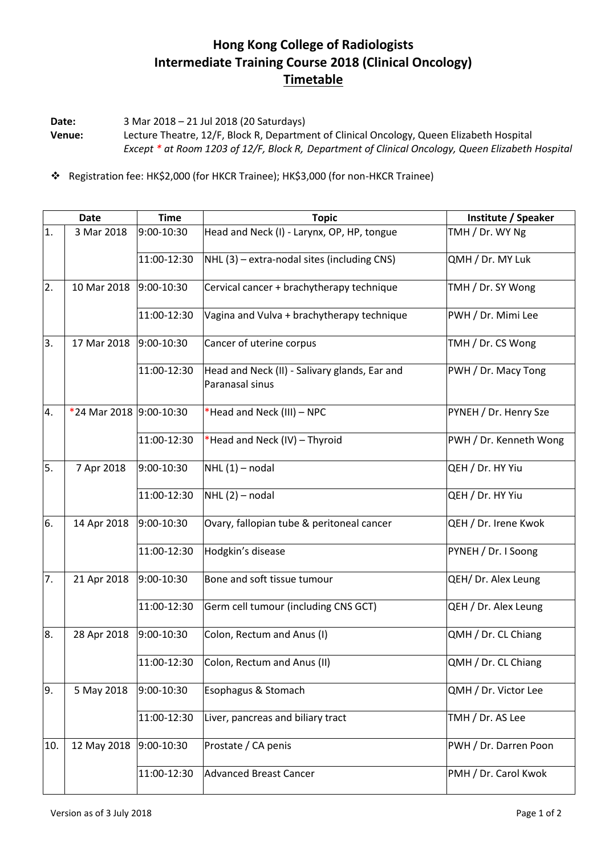## **Hong Kong College of Radiologists Intermediate Training Course 2018 (Clinical Oncology) Timetable**

**Date:** 3 Mar 2018 – 21 Jul 2018 (20 Saturdays) **Venue:** Lecture Theatre, 12/F, Block R, Department of Clinical Oncology, Queen Elizabeth Hospital *Except \* at Room 1203 of 12/F, Block R, Department of Clinical Oncology, Queen Elizabeth Hospital*

Registration fee: HK\$2,000 (for HKCR Trainee); HK\$3,000 (for non-HKCR Trainee)

|     | <b>Date</b>             | <b>Time</b> | <b>Topic</b>                                                     | Institute / Speaker    |
|-----|-------------------------|-------------|------------------------------------------------------------------|------------------------|
| 1.  | 3 Mar 2018              | 9:00-10:30  | Head and Neck (I) - Larynx, OP, HP, tongue                       | TMH / Dr. WY Ng        |
|     |                         | 11:00-12:30 | NHL (3) - extra-nodal sites (including CNS)                      | QMH / Dr. MY Luk       |
| 2.  | 10 Mar 2018             | 9:00-10:30  | Cervical cancer + brachytherapy technique                        | TMH / Dr. SY Wong      |
|     |                         | 11:00-12:30 | Vagina and Vulva + brachytherapy technique                       | PWH / Dr. Mimi Lee     |
| 3.  | 17 Mar 2018             | 9:00-10:30  | Cancer of uterine corpus                                         | TMH / Dr. CS Wong      |
|     |                         | 11:00-12:30 | Head and Neck (II) - Salivary glands, Ear and<br>Paranasal sinus | PWH / Dr. Macy Tong    |
| 4.  | *24 Mar 2018 9:00-10:30 |             | *Head and Neck (III) – NPC                                       | PYNEH / Dr. Henry Sze  |
|     |                         | 11:00-12:30 | *Head and Neck (IV) - Thyroid                                    | PWH / Dr. Kenneth Wong |
| 5.  | 7 Apr 2018              | 9:00-10:30  | $NHL(1)$ – nodal                                                 | QEH / Dr. HY Yiu       |
|     |                         | 11:00-12:30 | $NHL(2)$ – nodal                                                 | QEH / Dr. HY Yiu       |
| 6.  | 14 Apr 2018             | 9:00-10:30  | Ovary, fallopian tube & peritoneal cancer                        | QEH / Dr. Irene Kwok   |
|     |                         | 11:00-12:30 | Hodgkin's disease                                                | PYNEH / Dr. I Soong    |
| 7.  | 21 Apr 2018             | 9:00-10:30  | Bone and soft tissue tumour                                      | QEH/ Dr. Alex Leung    |
|     |                         | 11:00-12:30 | Germ cell tumour (including CNS GCT)                             | QEH / Dr. Alex Leung   |
| 8.  | 28 Apr 2018             | 9:00-10:30  | Colon, Rectum and Anus (I)                                       | QMH / Dr. CL Chiang    |
|     |                         | 11:00-12:30 | Colon, Rectum and Anus (II)                                      | QMH / Dr. CL Chiang    |
| 9.  | 5 May 2018              | 9:00-10:30  | Esophagus & Stomach                                              | QMH / Dr. Victor Lee   |
|     |                         | 11:00-12:30 | Liver, pancreas and biliary tract                                | TMH / Dr. AS Lee       |
| 10. | 12 May 2018             | 9:00-10:30  | Prostate / CA penis                                              | PWH / Dr. Darren Poon  |
|     |                         | 11:00-12:30 | <b>Advanced Breast Cancer</b>                                    | PMH / Dr. Carol Kwok   |